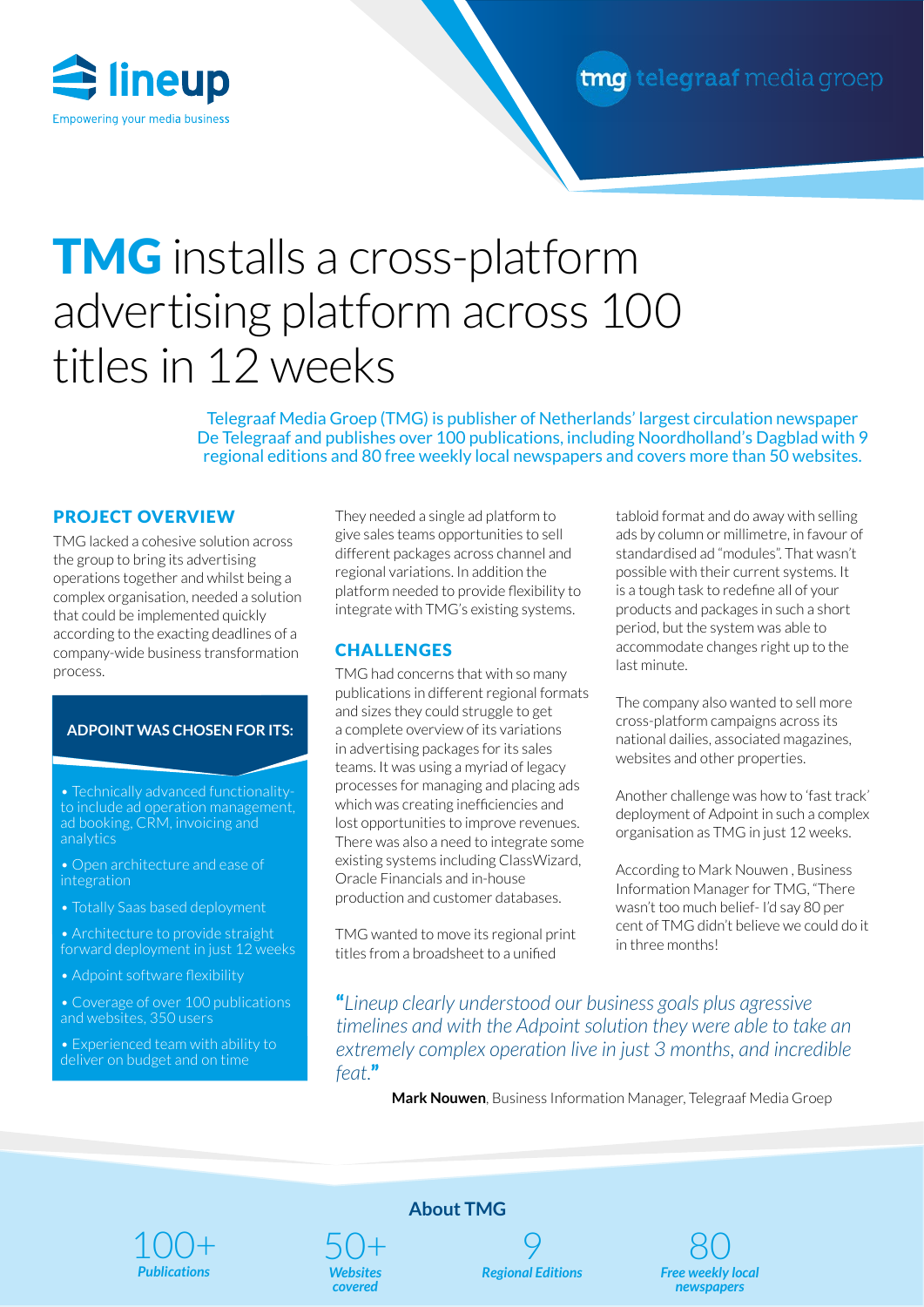

# **TMG** installs a cross-platform advertising platform across 100 titles in 12 weeks

Telegraaf Media Groep (TMG) is publisher of Netherlands' largest circulation newspaper De Telegraaf and publishes over 100 publications, including Noordholland's Dagblad with 9 regional editions and 80 free weekly local newspapers and covers more than 50 websites.

## PROJECT OVERVIEW

TMG lacked a cohesive solution across the group to bring its advertising operations together and whilst being a complex organisation, needed a solution that could be implemented quickly according to the exacting deadlines of a company-wide business transformation process.

### **ADPOINT WAS CHOSEN FOR ITS:**

**Verkaufsplattform, die**  to include ad operation management, auc au operation manageme<br>king CDM invoicing and ad booking, CRM, invoicing and<br>analytics analytics

**WICHTIGSTE** 

**2 Integrierter Prozess von**  integration • Open architecture and ease of

**der Buchung bis zur Abrechnung, um den**  • Totally Saas based deployment

• Architecture to provide straight forward deployment in just 12 weeks

• Adpoint software flexibility

**4 Altsysteme und Informationssilos durch**  and websites, 350 users • Coverage of over 100 publications

**Plattform abschaffen** deliver on budget and on time

They needed a single ad platform to give sales teams opportunities to sell different packages across channel and regional variations. In addition the platform needed to provide flexibility to integrate with TMG's existing systems.

### **CHALLENGES**

TMG had concerns that with so many publications in different regional formats and sizes they could struggle to get a complete overview of its variations in advertising packages for its sales teams. It was using a myriad of legacy processes for managing and placing ads which was creating inefficiencies and lost opportunities to improve revenues. There was also a need to integrate some existing systems including ClassWizard, Oracle Financials and in-house production and customer databases.

TMG wanted to move its regional print titles from a broadsheet to a unified

tabloid format and do away with selling ads by column or millimetre, in favour of standardised ad "modules". That wasn't possible with their current systems. It is a tough task to redefine all of your products and packages in such a short period, but the system was able to accommodate changes right up to the last minute.

The company also wanted to sell more cross-platform campaigns across its national dailies, associated magazines, websites and other properties.

Another challenge was how to 'fast track' deployment of Adpoint in such a complex organisation as TMG in just 12 weeks.

According to Mark Nouwen , Business Information Manager for TMG, "There wasn't too much belief- I'd say 80 per cent of TMG didn't believe we could do it in three months!

"*Lineup clearly understood our business goals plus agressive timelines and with the Adpoint solution they were able to take an extremely complex operation live in just 3 months, and incredible feat.*"

**Mark Nouwen**, Business Information Manager, Telegraaf Media Groep



50+ **About TMG**

*Websites covered*